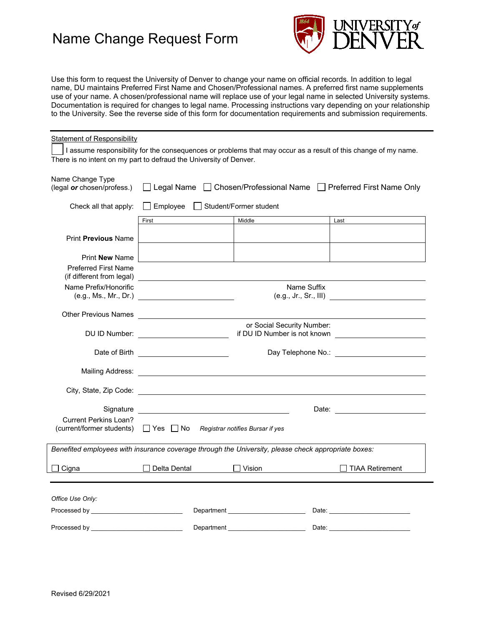# Name Change Request Form



Use this form to request the University of Denver to change your name on official records. In addition to legal name, DU maintains Preferred First Name and Chosen/Professional names. A preferred first name supplements use of your name. A chosen/professional name will replace use of your legal name in selected University systems. Documentation is required for changes to legal name. Processing instructions vary depending on your relationship to the University. See the reverse side of this form for documentation requirements and submission requirements.

| <b>Statement of Responsibility</b>                                                                                                                                                                                             |                                                                                                           |                            |             |                   |  |
|--------------------------------------------------------------------------------------------------------------------------------------------------------------------------------------------------------------------------------|-----------------------------------------------------------------------------------------------------------|----------------------------|-------------|-------------------|--|
| I assume responsibility for the consequences or problems that may occur as a result of this change of my name.                                                                                                                 |                                                                                                           |                            |             |                   |  |
| There is no intent on my part to defraud the University of Denver.                                                                                                                                                             |                                                                                                           |                            |             |                   |  |
| Name Change Type<br>(legal or chosen/profess.)                                                                                                                                                                                 | □ Legal Name □ Chosen/Professional Name □ Preferred First Name Only                                       |                            |             |                   |  |
| Check all that apply:                                                                                                                                                                                                          | □ Employee Student/Former student                                                                         |                            |             |                   |  |
|                                                                                                                                                                                                                                | First                                                                                                     | Middle                     |             | Last              |  |
| <b>Print Previous Name</b>                                                                                                                                                                                                     |                                                                                                           |                            |             |                   |  |
| Print <b>New</b> Name                                                                                                                                                                                                          |                                                                                                           |                            |             |                   |  |
| <b>Preferred First Name</b>                                                                                                                                                                                                    | (if different from legal) <u>contract the contract of the contract of the contract of the contract of</u> |                            |             |                   |  |
| Name Prefix/Honorific                                                                                                                                                                                                          |                                                                                                           |                            | Name Suffix |                   |  |
|                                                                                                                                                                                                                                |                                                                                                           |                            |             |                   |  |
|                                                                                                                                                                                                                                |                                                                                                           | or Social Security Number: |             |                   |  |
|                                                                                                                                                                                                                                |                                                                                                           |                            |             |                   |  |
|                                                                                                                                                                                                                                |                                                                                                           |                            |             |                   |  |
|                                                                                                                                                                                                                                |                                                                                                           |                            |             |                   |  |
|                                                                                                                                                                                                                                |                                                                                                           |                            |             |                   |  |
| <b>Current Perkins Loan?</b>                                                                                                                                                                                                   | (current/former students) □ Yes □ No Registrar notifies Bursar if yes                                     |                            |             |                   |  |
| Benefited employees with insurance coverage through the University, please check appropriate boxes:                                                                                                                            |                                                                                                           |                            |             |                   |  |
| Cigna                                                                                                                                                                                                                          | $\Box$ Delta Dental                                                                                       | $\Box$ Vision              |             | □ TIAA Retirement |  |
|                                                                                                                                                                                                                                |                                                                                                           |                            |             |                   |  |
| Office Use Only:                                                                                                                                                                                                               |                                                                                                           |                            |             |                   |  |
|                                                                                                                                                                                                                                |                                                                                                           |                            |             |                   |  |
| Processed by the contract of the contract of the contract of the contract of the contract of the contract of the contract of the contract of the contract of the contract of the contract of the contract of the contract of t | Department _________________________                                                                      |                            |             |                   |  |